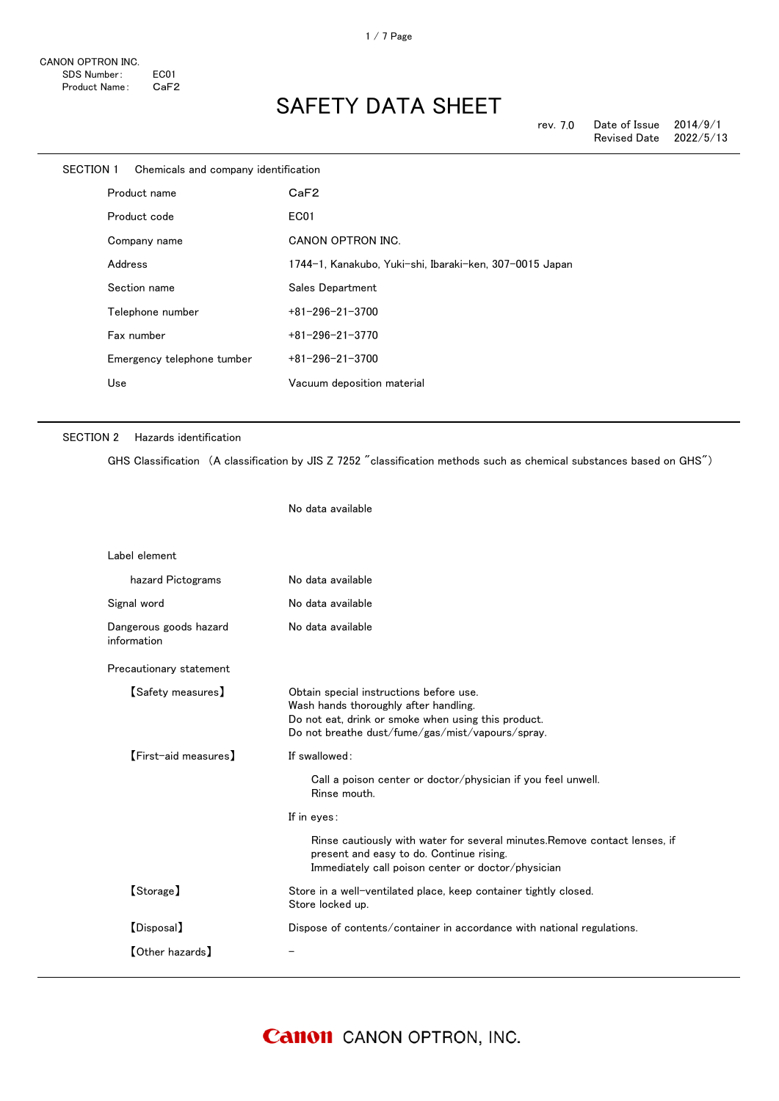| SECTION 1 | Chemicals and company identification |                                                         |
|-----------|--------------------------------------|---------------------------------------------------------|
|           | Product name                         | CaF2                                                    |
|           | Product code                         | EC01                                                    |
|           | Company name                         | CANON OPTRON INC.                                       |
|           | Address                              | 1744-1, Kanakubo, Yuki-shi, Ibaraki-ken, 307-0015 Japan |
|           | Section name                         | Sales Department                                        |
|           | Telephone number                     | $+81 - 296 - 21 - 3700$                                 |
|           | Fax number                           | $+81 - 296 - 21 - 3770$                                 |
|           | Emergency telephone tumber           | $+81 - 296 - 21 - 3700$                                 |
|           | Use                                  | Vacuum deposition material                              |
|           |                                      |                                                         |

#### SECTION 2 Hazards identification

GHS Classification (A classification by JIS Z 7252 "classification methods such as chemical substances based on GHS")

No data available Label element hazard Pictograms No data available Signal word **No data available** Dangerous goods hazard information No data available Precautionary statement 【Safety measures】 Obtain special instructions before use. Wash hands thoroughly after handling. Do not eat, drink or smoke when using this product. Do not breathe dust/fume/gas/mist/vapours/spray. 【First-aid measures】 If swallowed: Call a poison center or doctor/physician if you feel unwell. Rinse mouth. If in eyes: Rinse cautiously with water for several minutes.Remove contact lenses, if present and easy to do. Continue rising. Immediately call poison center or doctor/physician 【Storage】 Store in a well-ventilated place, keep container tightly closed. Store locked up. 【Disposal】 Dispose of contents/container in accordance with national regulations. 【Other hazards】 -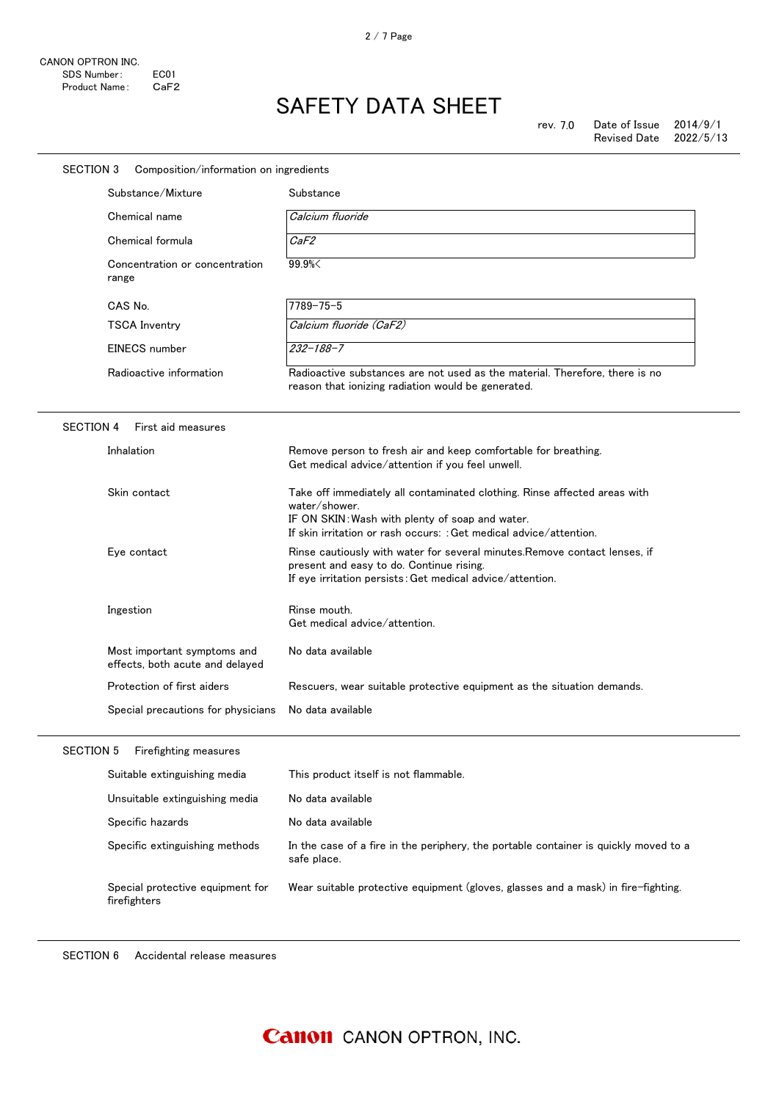| SECTION 3        | Composition/information on ingredients                         |                                                                                                                                                                                                                     |
|------------------|----------------------------------------------------------------|---------------------------------------------------------------------------------------------------------------------------------------------------------------------------------------------------------------------|
|                  | Substance/Mixture                                              | Substance                                                                                                                                                                                                           |
|                  | Chemical name                                                  | Calcium fluoride                                                                                                                                                                                                    |
|                  | Chemical formula                                               | CaF2                                                                                                                                                                                                                |
|                  | Concentration or concentration<br>range                        | 99.9%                                                                                                                                                                                                               |
|                  | CAS No.                                                        | $7789 - 75 - 5$                                                                                                                                                                                                     |
|                  | <b>TSCA Inventry</b>                                           | Calcium fluoride (CaF2)                                                                                                                                                                                             |
|                  | EINECS number                                                  | $232 - 188 - 7$                                                                                                                                                                                                     |
|                  | Radioactive information                                        | Radioactive substances are not used as the material. Therefore, there is no<br>reason that ionizing radiation would be generated.                                                                                   |
| <b>SECTION 4</b> | First aid measures                                             |                                                                                                                                                                                                                     |
|                  | Inhalation                                                     | Remove person to fresh air and keep comfortable for breathing.<br>Get medical advice/attention if you feel unwell.                                                                                                  |
|                  | Skin contact                                                   | Take off immediately all contaminated clothing. Rinse affected areas with<br>water/shower.<br>IF ON SKIN: Wash with plenty of soap and water.<br>If skin irritation or rash occurs: : Get medical advice/attention. |
|                  | Eye contact                                                    | Rinse cautiously with water for several minutes. Remove contact lenses, if<br>present and easy to do. Continue rising.<br>If eye irritation persists: Get medical advice/attention.                                 |
|                  | Ingestion                                                      | Rinse mouth.<br>Get medical advice/attention.                                                                                                                                                                       |
|                  | Most important symptoms and<br>effects, both acute and delayed | No data available                                                                                                                                                                                                   |
|                  | Protection of first aiders                                     | Rescuers, wear suitable protective equipment as the situation demands.                                                                                                                                              |
|                  | Special precautions for physicians                             | No data available                                                                                                                                                                                                   |
| <b>SECTION 5</b> | Firefighting measures                                          |                                                                                                                                                                                                                     |
|                  | Suitable extinguishing media                                   | This product itself is not flammable.                                                                                                                                                                               |
|                  | Unsuitable extinguishing media                                 | No data available                                                                                                                                                                                                   |
|                  | Specific hazards                                               | No data available                                                                                                                                                                                                   |
|                  | Specific extinguishing methods                                 | In the case of a fire in the periphery, the portable container is quickly moved to a<br>safe place.                                                                                                                 |
|                  | Special protective equipment for<br>firefighters               | Wear suitable protective equipment (gloves, glasses and a mask) in fire-fighting.                                                                                                                                   |

SECTION 6 Accidental release measures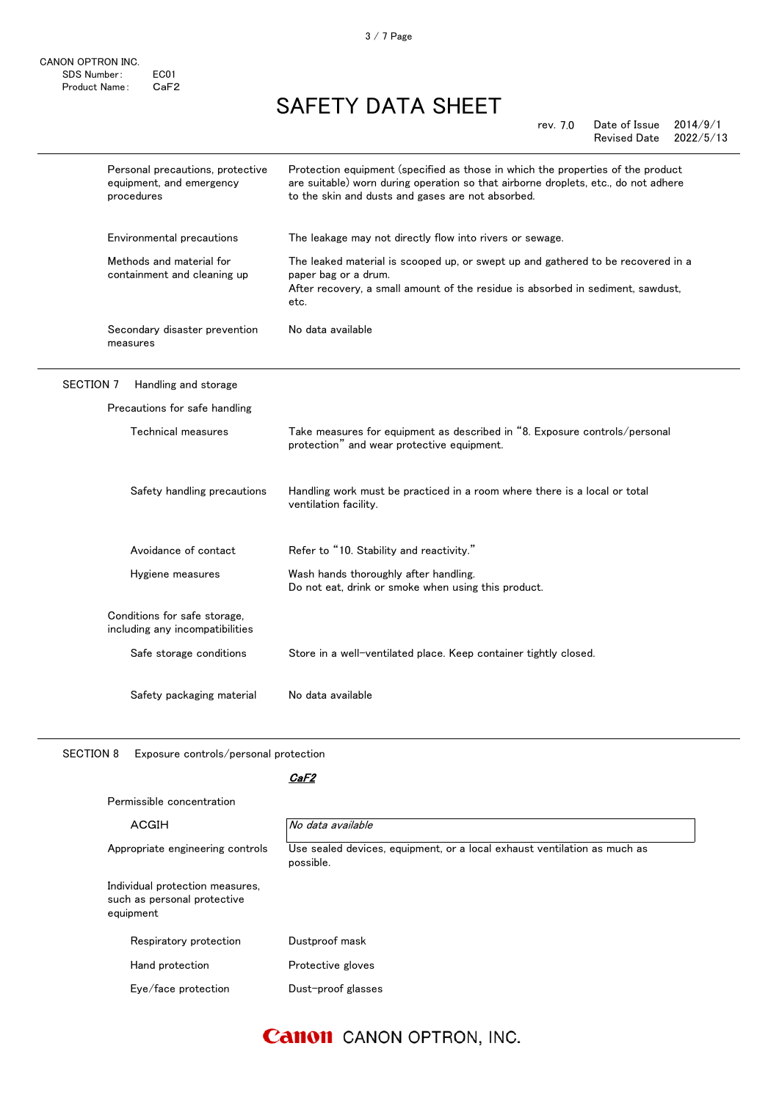|                  | Personal precautions, protective<br>equipment, and emergency<br>procedures | Protection equipment (specified as those in which the properties of the product<br>are suitable) worn during operation so that airborne droplets, etc., do not adhere<br>to the skin and dusts and gases are not absorbed. |
|------------------|----------------------------------------------------------------------------|----------------------------------------------------------------------------------------------------------------------------------------------------------------------------------------------------------------------------|
|                  | Environmental precautions                                                  | The leakage may not directly flow into rivers or sewage.                                                                                                                                                                   |
|                  | Methods and material for<br>containment and cleaning up                    | The leaked material is scooped up, or swept up and gathered to be recovered in a<br>paper bag or a drum.<br>After recovery, a small amount of the residue is absorbed in sediment, sawdust,<br>etc.                        |
|                  | Secondary disaster prevention<br>measures                                  | No data available                                                                                                                                                                                                          |
| <b>SECTION 7</b> | Handling and storage                                                       |                                                                                                                                                                                                                            |
|                  | Precautions for safe handling                                              |                                                                                                                                                                                                                            |
|                  | Technical measures                                                         | Take measures for equipment as described in "8. Exposure controls/personal<br>protection" and wear protective equipment.                                                                                                   |
|                  | Safety handling precautions                                                | Handling work must be practiced in a room where there is a local or total<br>ventilation facility.                                                                                                                         |
|                  | Avoidance of contact                                                       | Refer to "10. Stability and reactivity."                                                                                                                                                                                   |
|                  | Hygiene measures                                                           | Wash hands thoroughly after handling.<br>Do not eat, drink or smoke when using this product.                                                                                                                               |
|                  | Conditions for safe storage,<br>including any incompatibilities            |                                                                                                                                                                                                                            |
|                  | Safe storage conditions                                                    | Store in a well-ventilated place. Keep container tightly closed.                                                                                                                                                           |

Safety packaging material No data available

SECTION 8 Exposure controls/personal protection

### CaF2

| Permissible concentration                                                   |                                                                                       |
|-----------------------------------------------------------------------------|---------------------------------------------------------------------------------------|
| ACGIH                                                                       | No data available                                                                     |
| Appropriate engineering controls                                            | Use sealed devices, equipment, or a local exhaust ventilation as much as<br>possible. |
| Individual protection measures,<br>such as personal protective<br>equipment |                                                                                       |
| Respiratory protection                                                      | Dustproof mask                                                                        |
| Hand protection                                                             | Protective gloves                                                                     |
| Eye/face protection                                                         | Dust-proof glasses                                                                    |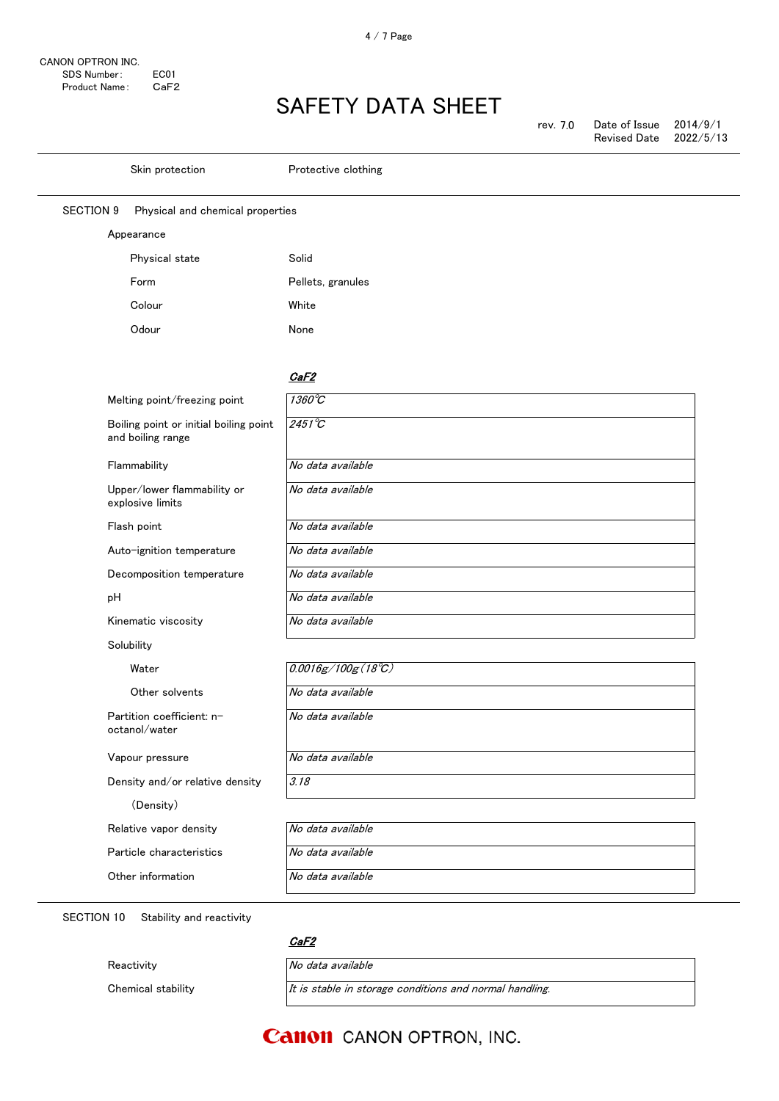| rev. 7.0 | Date of Issue          | 2014/9/1 |
|----------|------------------------|----------|
|          | Revised Date 2022/5/13 |          |

|                  | Skin protection                                             | Protective clothing         |
|------------------|-------------------------------------------------------------|-----------------------------|
| <b>SECTION 9</b> | Physical and chemical properties                            |                             |
|                  | Appearance                                                  |                             |
|                  | Physical state                                              | Solid                       |
|                  | Form                                                        | Pellets, granules           |
|                  | Colour                                                      | White                       |
|                  | Odour                                                       | None                        |
|                  |                                                             |                             |
|                  |                                                             | CaF2                        |
|                  | Melting point/freezing point                                | $1360^{\circ}C$             |
|                  | Boiling point or initial boiling point<br>and boiling range | $2451^{\circ}C$             |
|                  | Flammability                                                | No data available           |
|                  | Upper/lower flammability or<br>explosive limits             | No data available           |
|                  | Flash point                                                 | No data available           |
|                  | Auto-ignition temperature                                   | No data available           |
|                  | Decomposition temperature                                   | No data available           |
| рH               |                                                             | No data available           |
|                  | Kinematic viscosity                                         | No data available           |
|                  | Solubility                                                  |                             |
|                  | Water                                                       | $0.0016g/100g(18^{\circ}C)$ |
|                  | Other solvents                                              | No data available           |
|                  | Partition coefficient: n-<br>octanol/water                  | No data available           |
|                  | Vapour pressure                                             | No data available           |
|                  | Density and/or relative density                             | 3.18                        |
|                  | (Density)                                                   |                             |
|                  | Relative vapor density                                      | No data available           |
|                  | Particle characteristics                                    | No data available           |
|                  | Other information                                           | No data available           |
|                  |                                                             |                             |

SECTION 10 Stability and reactivity

Reactivity **No data available** 

<u>CaF2</u>

Chemical stability  $It$  is stable in storage conditions and normal handling.

### **Canon** CANON OPTRON, INC.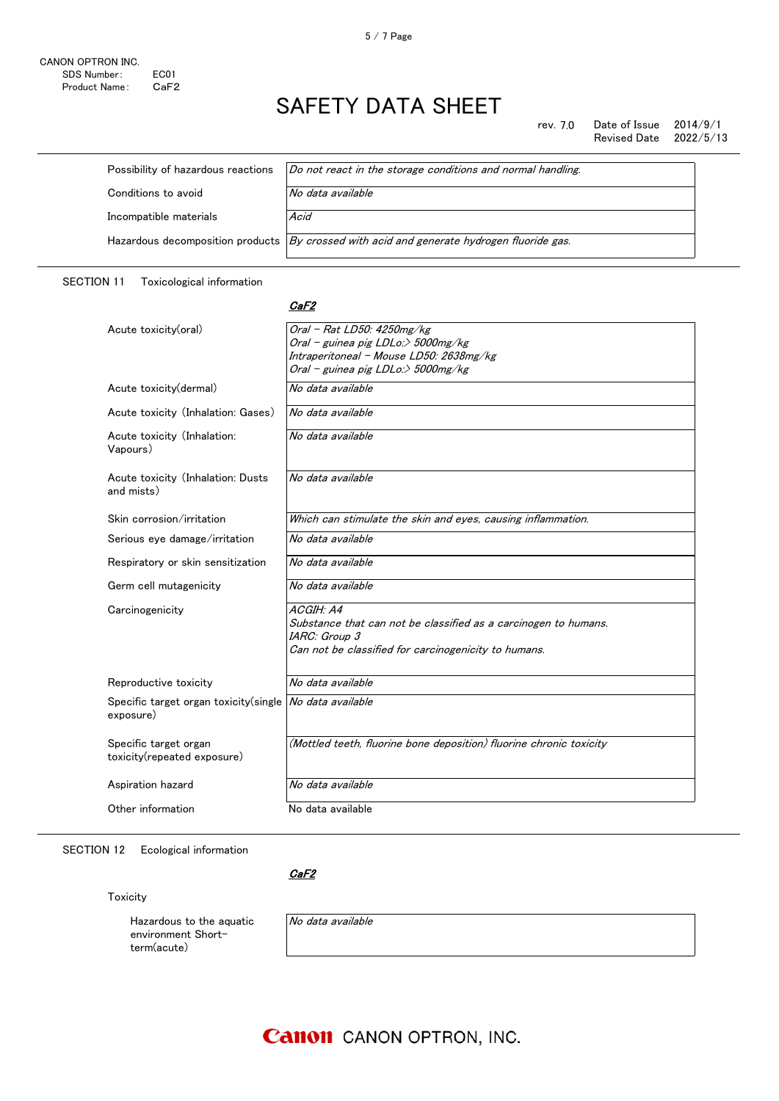rev. 7.0 Date of Issue 2014/9/1<br>Revised Date 2022/5/13 Revised Date

| Possibility of hazardous reactions | Do not react in the storage conditions and normal handling.                               |
|------------------------------------|-------------------------------------------------------------------------------------------|
| Conditions to avoid                | No data available                                                                         |
| Incompatible materials             | Acid                                                                                      |
|                                    | Hazardous decomposition products By crossed with acid and generate hydrogen fluoride gas. |

### SECTION 11 Toxicological information

#### <u>CaF2</u>

| Acute toxicity(oral)                                 | Oral - Rat LD50: 4250mg/kg                                          |
|------------------------------------------------------|---------------------------------------------------------------------|
|                                                      | Oral - guinea pig LDLo:> 5000mg/kg                                  |
|                                                      | Intraperitoneal - Mouse LD50: 2638mg/kg                             |
|                                                      | Oral - guinea pig LDLo:> 5000mg/kg                                  |
| Acute toxicity(dermal)                               | No data available                                                   |
| Acute toxicity (Inhalation: Gases)                   | No data available                                                   |
| Acute toxicity (Inhalation:<br>Vapours)              | No data available                                                   |
| Acute toxicity (Inhalation: Dusts<br>and mists)      | No data available                                                   |
| Skin corrosion/irritation                            | Which can stimulate the skin and eyes, causing inflammation.        |
| Serious eye damage/irritation                        | No data available                                                   |
| Respiratory or skin sensitization                    | No data available                                                   |
| Germ cell mutagenicity                               | No data available                                                   |
| Carcinogenicity                                      | ACGIH: A4                                                           |
|                                                      | Substance that can not be classified as a carcinogen to humans.     |
|                                                      | IARC: Group 3                                                       |
|                                                      | Can not be classified for carcinogenicity to humans.                |
| Reproductive toxicity                                | No data available                                                   |
| Specific target organ toxicity(single<br>exposure)   | No data available                                                   |
| Specific target organ<br>toxicity(repeated exposure) | (Mottled teeth, fluorine bone deposition) fluorine chronic toxicity |
| Aspiration hazard                                    | No data available                                                   |
| Other information                                    | No data available                                                   |

SECTION 12 Ecological information

<u>CaF2</u>

Toxicity

Hazardous to the aquatic environment Shortterm(acute)

No data available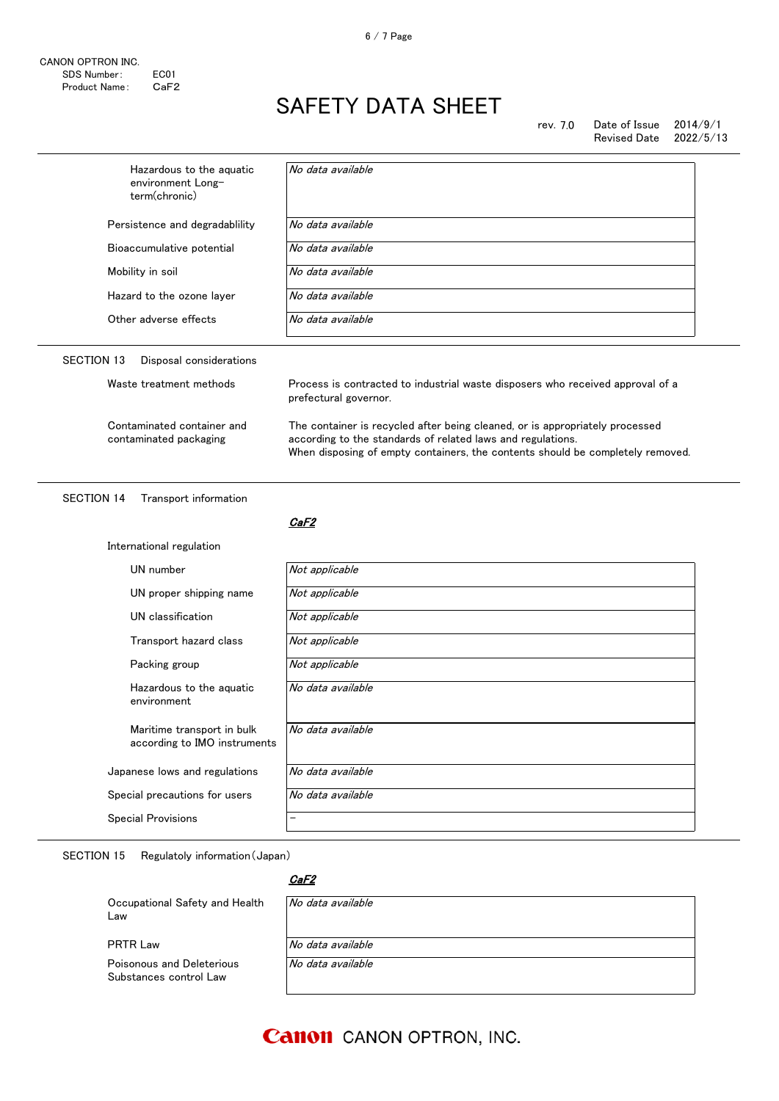| Hazardous to the aquatic<br>environment Long-<br>term(chronic) | No data available                                                                                                                                                                                                             |  |
|----------------------------------------------------------------|-------------------------------------------------------------------------------------------------------------------------------------------------------------------------------------------------------------------------------|--|
| Persistence and degradability                                  | No data available                                                                                                                                                                                                             |  |
| Bioaccumulative potential                                      | No data available                                                                                                                                                                                                             |  |
| Mobility in soil                                               | No data available                                                                                                                                                                                                             |  |
| Hazard to the ozone layer                                      | No data available                                                                                                                                                                                                             |  |
| Other adverse effects                                          | No data available                                                                                                                                                                                                             |  |
| <b>SECTION 13</b><br>Disposal considerations                   |                                                                                                                                                                                                                               |  |
| Waste treatment methods                                        | Process is contracted to industrial waste disposers who received approval of a<br>prefectural governor.                                                                                                                       |  |
| Contaminated container and<br>contaminated packaging           | The container is recycled after being cleaned, or is appropriately processed<br>according to the standards of related laws and regulations.<br>When disposing of empty containers, the contents should be completely removed. |  |
|                                                                |                                                                                                                                                                                                                               |  |
| <b>SECTION 14</b><br>Transport information                     | CaF2                                                                                                                                                                                                                          |  |
| International regulation                                       |                                                                                                                                                                                                                               |  |
| UN number                                                      | Not applicable                                                                                                                                                                                                                |  |
| UN proper shipping name                                        | Not applicable                                                                                                                                                                                                                |  |
| UN classification                                              | Not applicable                                                                                                                                                                                                                |  |
| Transport hazard class                                         | Not applicable                                                                                                                                                                                                                |  |
| Packing group                                                  | Not applicable                                                                                                                                                                                                                |  |
| Hazardous to the aquatic<br>environment                        | No data available                                                                                                                                                                                                             |  |
| Maritime transport in bulk<br>according to IMO instruments     | No data available                                                                                                                                                                                                             |  |
| Japanese lows and regulations                                  | No data available                                                                                                                                                                                                             |  |
| Special precautions for users                                  | No data available                                                                                                                                                                                                             |  |

SECTION 15 Regulatoly information(Japan)

### CaF2

| Occupational Safety and Health<br>Law               | No data available |
|-----------------------------------------------------|-------------------|
| <b>PRTR Law</b>                                     | No data available |
| Poisonous and Deleterious<br>Substances control Law | No data available |